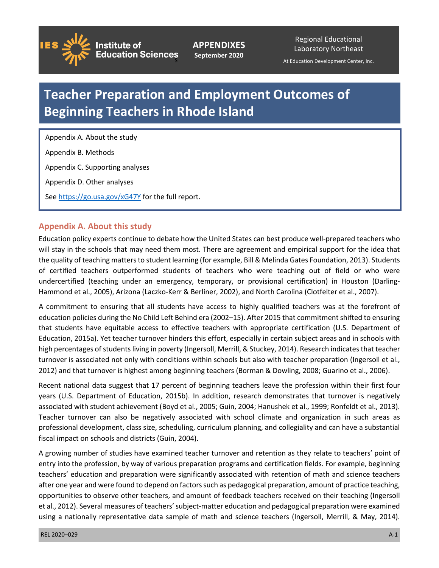

**Institute of** 

**APPENDIXES September 2020**

Regional Educational Laboratory Northeast

At Education Development Center, Inc. s Development

# **Teacher Preparation and Employment Outcomes of Beginning Teachers in Rhode Island**

 Appendix A. About the study Appendix B. Methods Appendix C. Supporting analyses Appendix D. Other analyses See <https://go.usa.gov/xG47Y>for the full report.

# **Appendix A. About this study**

 Education policy experts continue to debate how the United States can best produce well-prepared teachers who will stay in the schools that may need them most. There are agreement and empirical support for the idea that the quality of teaching matters to student learning (for example, Bill & Melinda Gates Foundation, 2013). Students of certified teachers outperformed students of teachers who were teaching out of field or who were undercertified (teaching under an emergency, temporary, or provisional certification) in Houston (Darling-Hammond et al., 2005), Arizona (Laczko-Kerr & Berliner, 2002), and North Carolina (Clotfelter et al., 2007).

 A commitment to ensuring that all students have access to highly qualified teachers was at the forefront of education policies during the No Child Left Behind era (2002–15). After 2015 that commitment shifted to ensuring that students have equitable access to effective teachers with appropriate certification (U.S. Department of high percentages of students living in poverty (Ingersoll, Merrill, & Stuckey, 2014). Research indicates that teacher 2012) and that turnover is highest among beginning teachers (Borman & Dowling, 2008; Guarino et al., 2006). Education, 2015a). Yet teacher turnover hinders this effort, especially in certain subject areas and in schools with turnover is associated not only with conditions within schools but also with teacher preparation (Ingersoll et al.,

 Recent national data suggest that 17 percent of beginning teachers leave the profession within their first four years (U.S. Department of Education, 2015b). In addition, research demonstrates that turnover is negatively Teacher turnover can also be negatively associated with school climate and organization in such areas as fiscal impact on schools and districts (Guin, 2004). associated with student achievement (Boyd et al., 2005; Guin, 2004; Hanushek et al., 1999; Ronfeldt et al., 2013). professional development, class size, scheduling, curriculum planning, and collegiality and can have a substantial

 entry into the profession, by way of various preparation programs and certification fields. For example, beginning teachers' education and preparation were significantly associated with retention of math and science teachers after one year and were found to depend on factors such as pedagogical preparation, amount of practice teaching, opportunities to observe other teachers, and amount of feedback teachers received on their teaching (Ingersoll et al., 2012). Several measures of teachers' subject-matter education and pedagogical preparation were examined using a nationally representative data sample of math and science teachers (Ingersoll, Merrill, & May, 2014). A growing number of studies have examined teacher turnover and retention as they relate to teachers' point of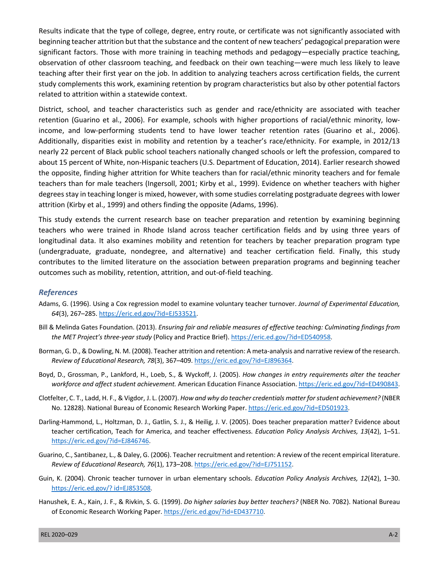related to attrition within a statewide context. Results indicate that the type of college, degree, entry route, or certificate was not significantly associated with beginning teacher attrition but that the substance and the content of new teachers' pedagogical preparation were significant factors. Those with more training in teaching methods and pedagogy—especially practice teaching, observation of other classroom teaching, and feedback on their own teaching—were much less likely to leave teaching after their first year on the job. In addition to analyzing teachers across certification fields, the current study complements this work, examining retention by program characteristics but also by other potential factors

 District, school, and teacher characteristics such as gender and race/ethnicity are associated with teacher income, and low-performing students tend to have lower teacher retention rates (Guarino et al., 2006). Additionally, disparities exist in mobility and retention by a teacher's race/ethnicity. For example, in 2012/13 nearly 22 percent of Black public school teachers nationally changed schools or left the profession, compared to about 15 percent of White, non-Hispanic teachers (U.S. Department of Education, 2014). Earlier research showed the opposite, finding higher attrition for White teachers than for racial/ethnic minority teachers and for female teachers than for male teachers (Ingersoll, 2001; Kirby et al., 1999). Evidence on whether teachers with higher degrees stay in teaching longer is mixed, however, with some studies correlating postgraduate degrees with lower attrition (Kirby et al., 1999) and others finding the opposite (Adams, 1996). retention (Guarino et al., 2006). For example, schools with higher proportions of racial/ethnic minority, low-

 This study extends the current research base on teacher preparation and retention by examining beginning teachers who were trained in Rhode Island across teacher certification fields and by using three years of longitudinal data. It also examines mobility and retention for teachers by teacher preparation program type contributes to the limited literature on the association between preparation programs and beginning teacher outcomes such as mobility, retention, attrition, and out-of-field teaching. (undergraduate, graduate, nondegree, and alternative) and teacher certification field. Finally, this study

#### *References*

- Adams, G. (1996). Using a Cox regression model to examine voluntary teacher turnover. *Journal of Experimental Education, 64*(3), 267–285. [https://eric.ed.gov/?id=EJ533521.](https://eric.ed.gov/?id=EJ533521)
- Bill & Melinda Gates Foundation. (2013). *Ensuring fair and reliable measures of effective teaching: Culminating findings from the MET Project's three-year study* (Policy and Practice Brief).<https://eric.ed.gov/?id=ED540958>.
- Borman, G. D., & Dowling, N. M. (2008). Teacher attrition and retention: A meta-analysis and narrative review of the research.  *Review of Educational Research, 78*(3), 367–409.<https://eric.ed.gov/?id=EJ896364>.
- Boyd, D., Grossman, P., Lankford, H., Loeb, S., & Wyckoff, J. (2005). *How changes in entry requirements alter the teacher workforce and affect student achievement.* American Education Finance Association. <https://eric.ed.gov/?id=ED490843>.
- Clotfelter, C. T., Ladd, H. F., & Vigdor, J. L. (2007). *How and why do teacher credentials matter for student achievement?* (NBER No. 12828). National Bureau of Economic Research Working Paper. <https://eric.ed.gov/?id=ED501923>.
- Darling-Hammond, L., Holtzman, D. J., Gatlin, S. J., & Heilig, J. V. (2005). Does teacher preparation matter? Evidence about  teacher certification, Teach for America, and teacher effectiveness. *Education Policy Analysis Archives, 13*(42), 1–51. [https://eric.ed.gov/?id=EJ846746.](https://eric.ed.gov/?id=EJ846746)
- Guarino, C., Santibanez, L., & Daley, G. (2006). Teacher recruitment and retention: A review of the recent empirical literature.  *Review of Educational Research, 76*(1), 173–208.<https://eric.ed.gov/?id=EJ751152>.
- Guin, K. (2004). Chronic teacher turnover in urban elementary schools. *Education Policy Analysis Archives, 12*(42), 1–30. [https://eric.ed.gov/? id=EJ853508.](https://eric.ed.gov/?%20id=EJ853508)
- Hanushek, E. A., Kain, J. F., & Rivkin, S. G. (1999). *Do higher salaries buy better teachers?* (NBER No. 7082). National Bureau of Economic Research Working Paper. [https://eric.ed.gov/?id=ED437710.](https://eric.ed.gov/?id=ED437710)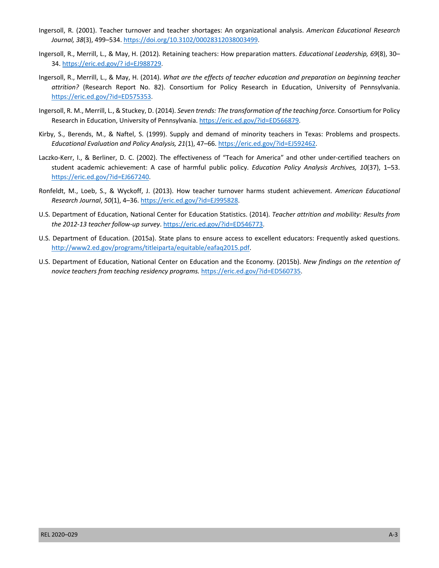- Ingersoll, R. (2001). Teacher turnover and teacher shortages: An organizational analysis. *American Educational Research Journal, 38*(3), 499–534. [https://doi.org/10.3102/00028312038003499.](https://doi.org/10.3102/00028312038003499)
- Ingersoll, R., Merrill, L., & May, H. (2012)*.* Retaining teachers: How preparation matters. *Educational Leadership, 69*(8), 30– 34. [https://eric.ed.gov/? id=EJ988729](https://www.eric.ed.gov/?id=EJ988729).
- Ingersoll, R., Merrill, L., & May, H. (2014). *What are the effects of teacher education and preparation on beginning teacher attrition?* (Research Report No. 82). Consortium for Policy Research in Education, University of Pennsylvania. [https://eric.ed.gov/?id=ED575353.](https://eric.ed.gov/?id=ED575353)
- Ingersoll, R. M., Merrill, L., & Stuckey, D. (2014). *Seven trends: The transformation of the teaching force.* Consortium for Policy Research in Education, University of Pennsylvania. [https://eric.ed.gov/?id=ED566879.](https://eric.ed.gov/?id=ED566879)
- Kirby, S., Berends, M., & Naftel, S. (1999). Supply and demand of minority teachers in Texas: Problems and prospects. *Educational Evaluation and Policy Analysis, 21*(1), 47–66. <https://eric.ed.gov/?id=EJ592462>.
- Laczko-Kerr, I., & Berliner, D. C. (2002). The effectiveness of "Teach for America" and other under-certified teachers on student academic achievement: A case of harmful public policy. *Education Policy Analysis Archives, 10*(37), 1–53. [https://eric.ed.gov/?id=EJ667240.](https://eric.ed.gov/?id=EJ667240)
- Ronfeldt, M., Loeb, S., & Wyckoff, J. (2013). How teacher turnover harms student achievement. *American Educational Research Journal*, *50*(1), 4–36.<https://eric.ed.gov/?id=EJ995828>.
- U.S. Department of Education, National Center for Education Statistics. (2014). *Teacher attrition and mobility: Results from the 2012-13 teacher follow-up survey*. [https://eric.ed.gov/?id=ED546773.](https://eric.ed.gov/?id=ED546773)
- U.S. Department of Education. (2015a). State plans to ensure access to excellent educators: Frequently asked questions. <http://www2.ed.gov/programs/titleiparta/equitable/eafaq2015.pdf>.
- U.S. Department of Education, National Center on Education and the Economy. (2015b). *New findings on the retention of novice teachers from teaching residency programs.* <https://eric.ed.gov/?id=ED560735>.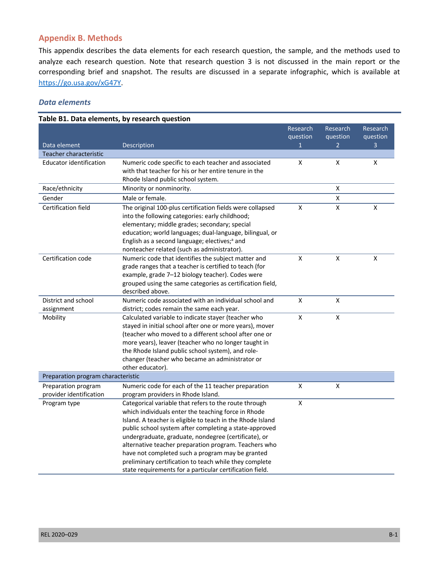# **Appendix B. Methods**

 analyze each research question. Note that research question 3 is not discussed in the main report or the [https://go.usa.gov/xG47Y.](https://go.usa.gov/xG47Y) This appendix describes the data elements for each research question, the sample, and the methods used to corresponding brief and snapshot. The results are discussed in a separate infographic, which is available at

### *Data elements*

|                                                | Table B1. Data elements, by research question                                                                                                                                                                                                                                                                                                                                                                                                                                                                                   |                                      |                                        |                           |
|------------------------------------------------|---------------------------------------------------------------------------------------------------------------------------------------------------------------------------------------------------------------------------------------------------------------------------------------------------------------------------------------------------------------------------------------------------------------------------------------------------------------------------------------------------------------------------------|--------------------------------------|----------------------------------------|---------------------------|
| Data element                                   | Description                                                                                                                                                                                                                                                                                                                                                                                                                                                                                                                     | Research<br>question<br>$\mathbf{1}$ | Research<br>question<br>$\overline{2}$ | Research<br>question<br>3 |
| Teacher characteristic                         |                                                                                                                                                                                                                                                                                                                                                                                                                                                                                                                                 |                                      |                                        |                           |
| <b>Educator identification</b>                 | Numeric code specific to each teacher and associated<br>with that teacher for his or her entire tenure in the<br>Rhode Island public school system.                                                                                                                                                                                                                                                                                                                                                                             | X                                    | X                                      | X                         |
| Race/ethnicity                                 | Minority or nonminority.                                                                                                                                                                                                                                                                                                                                                                                                                                                                                                        |                                      | x                                      |                           |
| Gender                                         | Male or female.                                                                                                                                                                                                                                                                                                                                                                                                                                                                                                                 |                                      | $\pmb{\mathsf{X}}$                     |                           |
| Certification field                            | The original 100-plus certification fields were collapsed<br>into the following categories: early childhood;<br>elementary; middle grades; secondary; special<br>education; world languages; dual-language, bilingual, or<br>English as a second language; electives; <sup>a</sup> and<br>nonteacher related (such as administrator).                                                                                                                                                                                           | X                                    | X                                      | X                         |
| Certification code                             | Numeric code that identifies the subject matter and<br>grade ranges that a teacher is certified to teach (for<br>example, grade 7-12 biology teacher). Codes were<br>grouped using the same categories as certification field,<br>described above.                                                                                                                                                                                                                                                                              | X                                    | $\pmb{\mathsf{X}}$                     | X                         |
| District and school<br>assignment              | Numeric code associated with an individual school and<br>district; codes remain the same each year.                                                                                                                                                                                                                                                                                                                                                                                                                             | X                                    | $\pmb{\mathsf{X}}$                     |                           |
| Mobility                                       | Calculated variable to indicate stayer (teacher who<br>stayed in initial school after one or more years), mover<br>(teacher who moved to a different school after one or<br>more years), leaver (teacher who no longer taught in<br>the Rhode Island public school system), and role-<br>changer (teacher who became an administrator or<br>other educator).                                                                                                                                                                    | X                                    | X                                      |                           |
| Preparation program characteristic             |                                                                                                                                                                                                                                                                                                                                                                                                                                                                                                                                 |                                      |                                        |                           |
| Preparation program<br>provider identification | Numeric code for each of the 11 teacher preparation<br>program providers in Rhode Island.                                                                                                                                                                                                                                                                                                                                                                                                                                       | X                                    | $\pmb{\mathsf{X}}$                     |                           |
| Program type                                   | Categorical variable that refers to the route through<br>which individuals enter the teaching force in Rhode<br>Island. A teacher is eligible to teach in the Rhode Island<br>public school system after completing a state-approved<br>undergraduate, graduate, nondegree (certificate), or<br>alternative teacher preparation program. Teachers who<br>have not completed such a program may be granted<br>preliminary certification to teach while they complete<br>state requirements for a particular certification field. | X                                    |                                        |                           |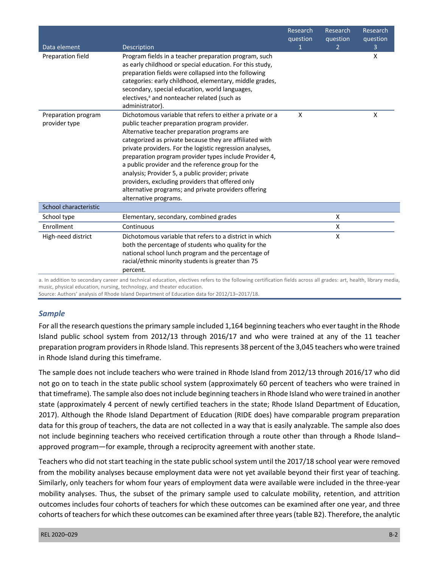|                                      |                                                                                                                                                                                                                                                                                                                                                                                                                                                                                                                                                                                          | Research<br>question | Research<br>question | Research<br>question |
|--------------------------------------|------------------------------------------------------------------------------------------------------------------------------------------------------------------------------------------------------------------------------------------------------------------------------------------------------------------------------------------------------------------------------------------------------------------------------------------------------------------------------------------------------------------------------------------------------------------------------------------|----------------------|----------------------|----------------------|
| Data element                         | Description                                                                                                                                                                                                                                                                                                                                                                                                                                                                                                                                                                              | $\mathbf 1$          | $\overline{2}$       | 3                    |
| Preparation field                    | Program fields in a teacher preparation program, such<br>as early childhood or special education. For this study,<br>preparation fields were collapsed into the following<br>categories: early childhood, elementary, middle grades,<br>secondary, special education, world languages,<br>electives, <sup>a</sup> and nonteacher related (such as<br>administrator).                                                                                                                                                                                                                     |                      |                      | X                    |
| Preparation program<br>provider type | Dichotomous variable that refers to either a private or a<br>public teacher preparation program provider.<br>Alternative teacher preparation programs are<br>categorized as private because they are affiliated with<br>private providers. For the logistic regression analyses,<br>preparation program provider types include Provider 4,<br>a public provider and the reference group for the<br>analysis; Provider 5, a public provider; private<br>providers, excluding providers that offered only<br>alternative programs; and private providers offering<br>alternative programs. | X                    |                      | X                    |
| School characteristic                |                                                                                                                                                                                                                                                                                                                                                                                                                                                                                                                                                                                          |                      |                      |                      |
| School type                          | Elementary, secondary, combined grades                                                                                                                                                                                                                                                                                                                                                                                                                                                                                                                                                   |                      | X                    |                      |
| Enrollment                           | Continuous                                                                                                                                                                                                                                                                                                                                                                                                                                                                                                                                                                               |                      | X                    |                      |
| High-need district                   | Dichotomous variable that refers to a district in which<br>both the percentage of students who quality for the<br>national school lunch program and the percentage of<br>racial/ethnic minority students is greater than 75<br>percent.                                                                                                                                                                                                                                                                                                                                                  |                      | X                    |                      |

 a. In addition to secondary career and technical education, electives refers to the following certification fields across all grades: art, health, library media, music, physical education, nursing, technology, and theater education.

Source: Authors' analysis of Rhode Island Department of Education data for 2012/13–2017/18.

## *Sample*

 For all the research questions the primary sample included 1,164 beginning teachers who ever taught in the Rhode Island public school system from 2012/13 through 2016/17 and who were trained at any of the 11 teacher preparation program providers in Rhode Island. This represents 38 percent of the 3,045 teachers who were trained in Rhode Island during this timeframe.

 The sample does not include teachers who were trained in Rhode Island from 2012/13 through 2016/17 who did not go on to teach in the state public school system (approximately 60 percent of teachers who were trained in that timeframe). The sample also does not include beginning teachers in Rhode Island who were trained in another 2017). Although the Rhode Island Department of Education (RIDE does) have comparable program preparation data for this group of teachers, the data are not collected in a way that is easily analyzable. The sample also does not include beginning teachers who received certification through a route other than through a Rhode Island– approved program—for example, through a reciprocity agreement with another state. state (approximately 4 percent of newly certified teachers in the state; Rhode Island Department of Education,

 Teachers who did not start teaching in the state public school system until the 2017/18 school year were removed from the mobility analyses because employment data were not yet available beyond their first year of teaching. Similarly, only teachers for whom four years of employment data were available were included in the three-year mobility analyses. Thus, the subset of the primary sample used to calculate mobility, retention, and attrition cohorts of teachers for which these outcomes can be examined after three years (table B2). Therefore, the analytic outcomes includes four cohorts of teachers for which these outcomes can be examined after one year, and three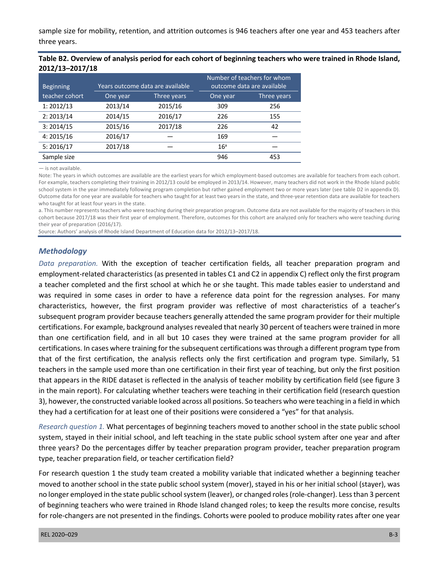sample size for mobility, retention, and attrition outcomes is 946 teachers after one year and 453 teachers after three years.

| Table B2. Overview of analysis period for each cohort of beginning teachers who were trained in Rhode Island, |  |
|---------------------------------------------------------------------------------------------------------------|--|
| 2012/13-2017/18                                                                                               |  |

| <b>Beginning</b> | Years outcome data are available |             | Number of teachers for whom<br>outcome data are available |             |  |
|------------------|----------------------------------|-------------|-----------------------------------------------------------|-------------|--|
| teacher cohort   | One year                         | Three years | One year                                                  | Three years |  |
| 1: 2012/13       | 2013/14                          | 2015/16     | 309                                                       | 256         |  |
| 2: 2013/14       | 2014/15                          | 2016/17     | 226                                                       | 155         |  |
| 3: 2014/15       | 2015/16                          | 2017/18     | 226                                                       | 42          |  |
| 4: 2015/16       | 2016/17                          |             | 169                                                       |             |  |
| 5:2016/17        | 2017/18                          |             | 16 <sup>a</sup>                                           |             |  |
| Sample size      |                                  |             | 946                                                       | 453         |  |

— is not available.

 Note: The years in which outcomes are available are the earliest years for which employment-based outcomes are available for teachers from each cohort. For example, teachers completing their training in 2012/13 could be employed in 2013/14. However, many teachers did not work in the Rhode Island public school system in the year immediately following program completion but rather gained employment two or more years later (see table D2 in appendix D). Outcome data for one year are available for teachers who taught for at least two years in the state, and three-year retention data are available for teachers who taught for at least four years in the state.

 a. This number represents teachers who were teaching during their preparation program. Outcome data are not available for the majority of teachers in this cohort because 2017/18 was their first year of employment. Therefore, outcomes for this cohort are analyzed only for teachers who were teaching during their year of preparation (2016/17).

Source: Authors' analysis of Rhode Island Department of Education data for 2012/13–2017/18.

#### *Methodology*

 *Data preparation.* With the exception of teacher certification fields, all teacher preparation program and employment-related characteristics (as presented in tables C1 and C2 in appendix C) reflect only the first program a teacher completed and the first school at which he or she taught. This made tables easier to understand and was required in some cases in order to have a reference data point for the regression analyses. For many characteristics, however, the first program provider was reflective of most characteristics of a teacher's subsequent program provider because teachers generally attended the same program provider for their multiple certifications. For example, background analyses revealed that nearly 30 percent of teachers were trained in more than one certification field, and in all but 10 cases they were trained at the same program provider for all certifications. In cases where training for the subsequent certifications was through a different program type from that of the first certification, the analysis reflects only the first certification and program type. Similarly, 51 teachers in the sample used more than one certification in their first year of teaching, but only the first position that appears in the RIDE dataset is reflected in the analysis of teacher mobility by certification field (see figure 3 in the main report). For calculating whether teachers were teaching in their certification field (research question 3), however, the constructed variable looked across all positions. So teachers who were teaching in a field in which they had a certification for at least one of their positions were considered a "yes" for that analysis.

 *Research question 1.* What percentages of beginning teachers moved to another school in the state public school system, stayed in their initial school, and left teaching in the state public school system after one year and after three years? Do the percentages differ by teacher preparation program provider, teacher preparation program type, teacher preparation field, or teacher certification field?

 For research question 1 the study team created a mobility variable that indicated whether a beginning teacher moved to another school in the state public school system (mover), stayed in his or her initial school (stayer), was no longer employed in the state public school system (leaver), or changed roles (role-changer). Less than 3 percent of beginning teachers who were trained in Rhode Island changed roles; to keep the results more concise, results for role-changers are not presented in the findings. Cohorts were pooled to produce mobility rates after one year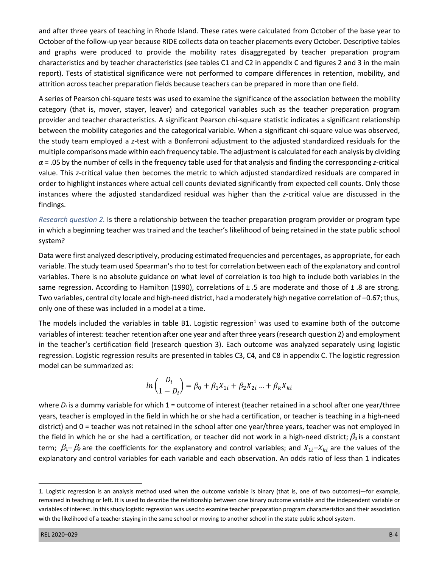and after three years of teaching in Rhode Island. These rates were calculated from October of the base year to October of the follow-up year because RIDE collects data on teacher placements every October. Descriptive tables and graphs were produced to provide the mobility rates disaggregated by teacher preparation program characteristics and by teacher characteristics (see tables C1 and C2 in appendix C and figures 2 and 3 in the main report). Tests of statistical significance were not performed to compare differences in retention, mobility, and attrition across teacher preparation fields because teachers can be prepared in more than one field.

 A series of Pearson chi-square tests was used to examine the significance of the association between the mobility provider and teacher characteristics. A significant Pearson chi-square statistic indicates a significant relationship between the mobility categories and the categorical variable. When a significant chi-square value was observed, the study team employed a *z*-test with a Bonferroni adjustment to the adjusted standardized residuals for the multiple comparisons made within each frequency table. The adjustment is calculated for each analysis by dividing *α* = .05 by the number of cells in the frequency table used for that analysis and finding the corresponding *z*-critical value. This *z*-critical value then becomes the metric to which adjusted standardized residuals are compared in order to highlight instances where actual cell counts deviated significantly from expected cell counts. Only those instances where the adjusted standardized residual was higher than the *z*-critical value are discussed in the category (that is, mover, stayer, leaver) and categorical variables such as the teacher preparation program findings.

 *Research question 2.* Is there a relationship between the teacher preparation program provider or program type in which a beginning teacher was trained and the teacher's likelihood of being retained in the state public school system?

system?<br>Data were first analyzed descriptively, producing estimated frequencies and percentages, as appropriate, for each variable. The study team used Spearman's rho to test for correlation between each of the explanatory and control variables. There is no absolute guidance on what level of correlation is too high to include both variables in the same regression. According to Hamilton (1990), correlations of  $\pm$  .5 are moderate and those of  $\pm$  .8 are strong. Two variables, central city locale and high-need district, had a moderately high negative correlation of –0.67; thus, only one of these was included in a model at a time.

The models included the variables in table B1. Logistic regression<sup>1</sup> was used to examine both of the outcome variables of interest: teacher retention after one year and after three years (research question 2) and employment in the teacher's certification field (research question 3). Each outcome was analyzed separately using logistic regression. Logistic regression results are presented in tables C3, C4, and C8 in appendix C. The logistic regression model can be summarized as:

$$
ln\left(\frac{D_i}{1 - D_i}\right) = \beta_0 + \beta_1 X_{1i} + \beta_2 X_{2i} ... + \beta_k X_{ki}
$$

where *D<sub>i</sub>* is a dummy variable for which 1 = outcome of interest (teacher retained in a school after one year/three years, teacher is employed in the field in which he or she had a certification, or teacher is teaching in a high-need district) and 0 = teacher was not retained in the school after one year/three years, teacher was not employed in the field in which he or she had a certification, or teacher did not work in a high-need district;  $\beta_0$  is a constant term;  $\beta_1-\beta_k$  are the coefficients for the explanatory and control variables; and  $X_{1i}-X_{ki}$  are the values of the explanatory and control variables for each variable and each observation. An odds ratio of less than 1 indicates j

 1. Logistic regression is an analysis method used when the outcome variable is binary (that is, one of two outcomes)—for example, remained in teaching or left. It is used to describe the relationship between one binary outcome variable and the independent variable or variables of interest. In this study logistic regression was used to examine teacher preparation program characteristics and their association with the likelihood of a teacher staying in the same school or moving to another school in the state public school system.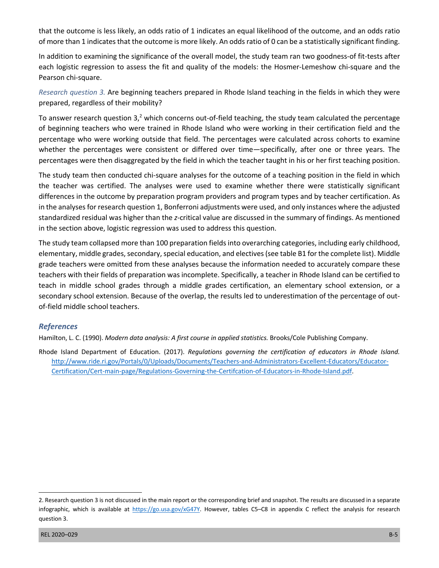that the outcome is less likely, an odds ratio of 1 indicates an equal likelihood of the outcome, and an odds ratio of more than 1 indicates that the outcome is more likely. An odds ratio of 0 can be a statistically significant finding.

 In addition to examining the significance of the overall model, the study team ran two goodness-of fit-tests after each logistic regression to assess the fit and quality of the models: the Hosmer-Lemeshow chi-square and the Pearson chi-square.

 *Research question 3.* Are beginning teachers prepared in Rhode Island teaching in the fields in which they were prepared, regardless of their mobility?

prepared, regardless of their mobility?<br>To answer research question 3,<sup>2</sup> which concerns out-of-field teaching, the study team calculated the percentage of beginning teachers who were trained in Rhode Island who were working in their certification field and the percentage who were working outside that field. The percentages were calculated across cohorts to examine whether the percentages were consistent or differed over time—specifically, after one or three years. The percentages were then disaggregated by the field in which the teacher taught in his or her first teaching position.

 The study team then conducted chi-square analyses for the outcome of a teaching position in the field in which the teacher was certified. The analyses were used to examine whether there were statistically significant differences in the outcome by preparation program providers and program types and by teacher certification. As in the analyses for research question 1, Bonferroni adjustments were used, and only instances where the adjusted standardized residual was higher than the *z*-critical value are discussed in the summary of findings. As mentioned in the section above, logistic regression was used to address this question.

 The study team collapsed more than 100 preparation fields into overarching categories, including early childhood, grade teachers were omitted from these analyses because the information needed to accurately compare these teachers with their fields of preparation was incomplete. Specifically, a teacher in Rhode Island can be certified to teach in middle school grades through a middle grades certification, an elementary school extension, or a secondary school extension. Because of the overlap, the results led to underestimation of the percentage of out- of-field middle school teachers. elementary, middle grades, secondary, special education, and electives (see table B1 for the complete list). Middle

#### *References*

Hamilton, L. C. (1990). *Modern data analysis: A first course in applied statistics.* Brooks/Cole Publishing Company.

 Rhode Island Department of Education. (2017). *Regulations governing the certification of educators in Rhode Island.*  Certification/Cert-main-page/Regulations-Governing-the-Certifcation-of-Educators-in-Rhode-Island.pdf. [http://www.ride.ri.gov/Portals/0/Uploads/Documents/Teachers-and-Administrators-Excellent-Educators/Educator-](http://www.ride.ri.gov/Portals/0/Uploads/Documents/Teachers-and-Administrators-Excellent-Educators/Educator)[Certification/Cert-main-page/Regulations-Governing-the-Certifcation-of-Educators-in-Rhode-Island.pdf](http://www.ride.ri.gov/Portals/0/Uploads/Documents/Teachers-and-Administrators-Excellent-Educators/Educator-Certification/Cert-main-page/Regulations-Governing-the-Certifcation-of-Educators-in-Rhode-Island.pdf).<br>2. Research question 3 is not discussed in the main report or the corresponding brief and snapshot. The results are disc

<sup>2.</sup> Research question 3 is not discussed in the main report or the corresponding brief and snapshot. The results are discussed in a separate infographic, which is available at https://go.usa.gov/xG47Y</u>. However, tables C5–C8 in appendix C reflect the analysis for research question 3.

REL 2020–029 B-5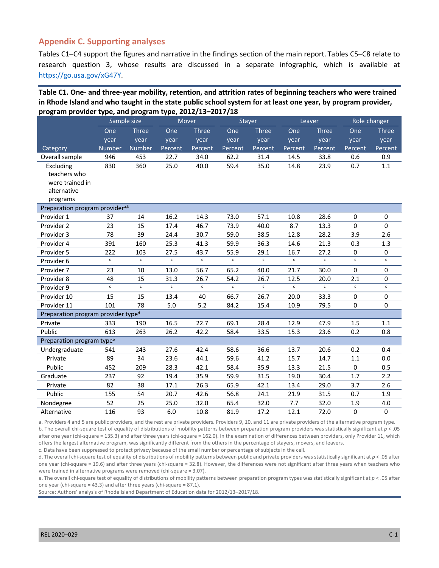## **Appendix C. Supporting analyses**

 Tables C1–C4 support the figures and narrative in the findings section of the main report. Tables C5–C8 relate to research question 3, whose results are discussed in a separate infographic, which is available at [https://go.usa.gov/xG47Y.](https://go.usa.gov/xG47Y)

#### **Table C1. One- and three-year mobility, retention, and attrition rates of beginning teachers who were trained in Rhode Island and who taught in the state public school system for at least one year, by program provider, program provider type, and program type, 2012/13–2017/18**

|                                                | ין ליייי יוסי יין ייייי י<br>Sample size |              | Mover<br><b>Stayer</b> |              |              | Leaver       |              | Role changer |              |              |
|------------------------------------------------|------------------------------------------|--------------|------------------------|--------------|--------------|--------------|--------------|--------------|--------------|--------------|
|                                                | One                                      | <b>Three</b> | One                    | <b>Three</b> | One          | <b>Three</b> | One          | <b>Three</b> | One          | <b>Three</b> |
|                                                | year                                     | year         | year                   | year         | year         | year         | year         | year         | year         | year         |
| Category                                       | Number                                   | Number       | Percent                | Percent      | Percent      | Percent      | Percent      | Percent      | Percent      | Percent      |
| Overall sample                                 | 946                                      | 453          | 22.7                   | 34.0         | 62.2         | 31.4         | 14.5         | 33.8         | 0.6          | 0.9          |
| Excluding                                      | 830                                      | 360          | 25.0                   | 40.0         | 59.4         | 35.0         | 14.8         | 23.9         | 0.7          | 1.1          |
| teachers who                                   |                                          |              |                        |              |              |              |              |              |              |              |
| were trained in                                |                                          |              |                        |              |              |              |              |              |              |              |
| alternative                                    |                                          |              |                        |              |              |              |              |              |              |              |
| programs                                       |                                          |              |                        |              |              |              |              |              |              |              |
| Preparation program provider <sup>a,b</sup>    |                                          |              |                        |              |              |              |              |              |              |              |
| Provider 1                                     | 37                                       | 14           | 16.2                   | 14.3         | 73.0         | 57.1         | 10.8         | 28.6         | 0            | 0            |
| Provider 2                                     | 23                                       | 15           | 17.4                   | 46.7         | 73.9         | 40.0         | 8.7          | 13.3         | 0            | 0            |
| Provider 3                                     | 78                                       | 39           | 24.4                   | 30.7         | 59.0         | 38.5         | 12.8         | 28.2         | 3.9          | 2.6          |
| Provider 4                                     | 391                                      | 160          | 25.3                   | 41.3         | 59.9         | 36.3         | 14.6         | 21.3         | 0.3          | 1.3          |
| Provider 5                                     | 222                                      | 103          | 27.5                   | 43.7         | 55.9         | 29.1         | 16.7         | 27.2         | 0            | 0            |
| Provider 6                                     | $\mathsf{c}$                             | $\mathsf{c}$ | $\mathsf{c}$           | $\mathsf{c}$ | $\mathsf{c}$ | $\mathsf{c}$ | $\mathsf{c}$ | $\mathsf{c}$ | $\mathsf{c}$ | $\mathsf{c}$ |
| Provider 7                                     | 23                                       | 10           | 13.0                   | 56.7         | 65.2         | 40.0         | 21.7         | 30.0         | 0            | 0            |
| Provider 8                                     | 48                                       | 15           | 31.3                   | 26.7         | 54.2         | 26.7         | 12.5         | 20.0         | 2.1          | 0            |
| Provider 9                                     | $\mathsf{c}$                             | $\mathbf{c}$ | $\mathbf{c}$           | $\mathbf{c}$ | $\mathsf{c}$ | $\mathbf{c}$ | $\mathbf{c}$ | $\epsilon$   | $\mathsf{c}$ | $\mathsf{c}$ |
| Provider 10                                    | 15                                       | 15           | 13.4                   | 40           | 66.7         | 26.7         | 20.0         | 33.3         | 0            | 0            |
| Provider 11                                    | 101                                      | 78           | 5.0                    | 5.2          | 84.2         | 15.4         | 10.9         | 79.5         | 0            | 0            |
| Preparation program provider type <sup>d</sup> |                                          |              |                        |              |              |              |              |              |              |              |
| Private                                        | 333                                      | 190          | 16.5                   | 22.7         | 69.1         | 28.4         | 12.9         | 47.9         | 1.5          | 1.1          |
| Public                                         | 613                                      | 263          | 26.2                   | 42.2         | 58.4         | 33.5         | 15.3         | 23.6         | 0.2          | 0.8          |
| Preparation program type <sup>e</sup>          |                                          |              |                        |              |              |              |              |              |              |              |
| Undergraduate                                  | 541                                      | 243          | 27.6                   | 42.4         | 58.6         | 36.6         | 13.7         | 20.6         | 0.2          | 0.4          |
| Private                                        | 89                                       | 34           | 23.6                   | 44.1         | 59.6         | 41.2         | 15.7         | 14.7         | 1.1          | 0.0          |
| Public                                         | 452                                      | 209          | 28.3                   | 42.1         | 58.4         | 35.9         | 13.3         | 21.5         | 0            | 0.5          |
| Graduate                                       | 237                                      | 92           | 19.4                   | 35.9         | 59.9         | 31.5         | 19.0         | 30.4         | 1.7          | 2.2          |
| Private                                        | 82                                       | 38           | 17.1                   | 26.3         | 65.9         | 42.1         | 13.4         | 29.0         | 3.7          | 2.6          |
| Public                                         | 155                                      | 54           | 20.7                   | 42.6         | 56.8         | 24.1         | 21.9         | 31.5         | 0.7          | 1.9          |
| Nondegree                                      | 52                                       | 25           | 25.0                   | 32.0         | 65.4         | 32.0         | 7.7          | 32.0         | 1.9          | 4.0          |
| Alternative                                    | 116                                      | 93           | 6.0                    | 10.8         | 81.9         | 17.2         | 12.1         | 72.0         | 0            | $\pmb{0}$    |

 a. Providers 4 and 5 are public providers, and the rest are private providers. Providers 9, 10, and 11 are private providers of the alternative program type. b. The overall chi-square test of equality of distributions of mobility patterns between preparation program providers was statistically significant at *p* < .05 after one year (chi-square = 135.3) and after three years (chi-square = 162.0). In the examination of differences between providers, only Provider 11, which offers the largest alternative program, was significantly different from the others in the percentage of stayers, movers, and leavers.

c. Data have been suppressed to protect privacy because of the small number or percentage of subjects in the cell.

 d. The overall chi-square test of equality of distributions of mobility patterns between public and private providers was statistically significant at *p* < .05 after one year (chi-square = 19.6) and after three years (chi-square = 32.8). However, the differences were not significant after three years when teachers who were trained in alternative programs were removed (chi-square = 3.07).

 e. The overall chi-square test of equality of distributions of mobility patterns between preparation program types was statistically significant at *p* < .05 after one year (chi-square = 43.3) and after three years (chi-square = 87.1).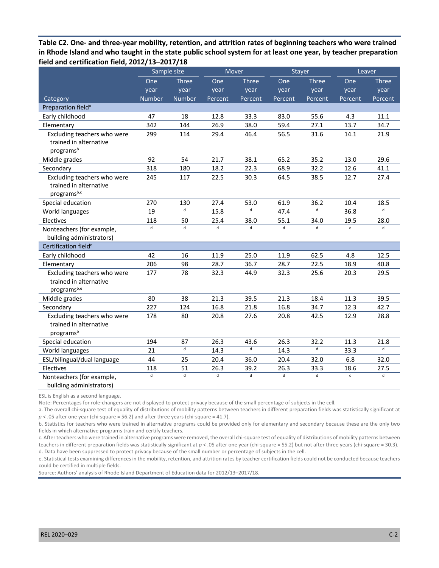**Table C2. One- and three-year mobility, retention, and attrition rates of beginning teachers who were trained in Rhode Island and who taught in the state public school system for at least one year, by teacher preparation field and certification field, 2012/13–2017/18** 

|                                                                                | Sample size    |                | Mover        |              | <b>Stayer</b> |              | Leaver  |              |
|--------------------------------------------------------------------------------|----------------|----------------|--------------|--------------|---------------|--------------|---------|--------------|
|                                                                                | One            | <b>Three</b>   | One          | <b>Three</b> | One           | <b>Three</b> | One     | <b>Three</b> |
|                                                                                | year           | year           | year         | year         | year          | year         | year    | year         |
| Category                                                                       | <b>Number</b>  | <b>Number</b>  | Percent      | Percent      | Percent       | Percent      | Percent | Percent      |
| Preparation field <sup>a</sup>                                                 |                |                |              |              |               |              |         |              |
| Early childhood                                                                | 47             | 18             | 12.8         | 33.3         | 83.0          | 55.6         | 4.3     | 11.1         |
| Elementary                                                                     | 342            | 144            | 26.9         | 38.0         | 59.4          | 27.1         | 13.7    | 34.7         |
| Excluding teachers who were<br>trained in alternative<br>programs <sup>b</sup> | 299            | 114            | 29.4         | 46.4         | 56.5          | 31.6         | 14.1    | 21.9         |
| Middle grades                                                                  | 92             | 54             | 21.7         | 38.1         | 65.2          | 35.2         | 13.0    | 29.6         |
| Secondary                                                                      | 318            | 180            | 18.2         | 22.3         | 68.9          | 32.2         | 12.6    | 41.1         |
| Excluding teachers who were<br>trained in alternative<br>programsb,c           | 245            | 117            | 22.5         | 30.3         | 64.5          | 38.5         | 12.7    | 27.4         |
| Special education                                                              | 270            | 130            | 27.4         | 53.0         | 61.9          | 36.2         | 10.4    | 18.5         |
| World languages                                                                | 19             | d              | 15.8         | d            | 47.4          | $\sf d$      | 36.8    | $\mathsf{d}$ |
| Electives                                                                      | 118            | 50             | 25.4         | 38.0         | 55.1          | 34.0         | 19.5    | 28.0         |
| Nonteachers (for example,<br>building administrators)                          | $\overline{d}$ | $\overline{d}$ | ď            | d            | $\mathsf{d}$  | $\mathbf{p}$ | d       | $\mathbf{d}$ |
| Certification field <sup>e</sup>                                               |                |                |              |              |               |              |         |              |
| Early childhood                                                                | 42             | 16             | 11.9         | 25.0         | 11.9          | 62.5         | 4.8     | 12.5         |
| Elementary                                                                     | 206            | 98             | 28.7         | 36.7         | 28.7          | 22.5         | 18.9    | 40.8         |
| Excluding teachers who were<br>trained in alternative<br>programsb,e           | 177            | 78             | 32.3         | 44.9         | 32.3          | 25.6         | 20.3    | 29.5         |
| Middle grades                                                                  | 80             | 38             | 21.3         | 39.5         | 21.3          | 18.4         | 11.3    | 39.5         |
| Secondary                                                                      | 227            | 124            | 16.8         | 21.8         | 16.8          | 34.7         | 12.3    | 42.7         |
| Excluding teachers who were<br>trained in alternative<br>programsb             | 178            | 80             | 20.8         | 27.6         | 20.8          | 42.5         | 12.9    | 28.8         |
| Special education                                                              | 194            | 87             | 26.3         | 43.6         | 26.3          | 32.2         | 11.3    | 21.8         |
| World languages                                                                | 21             | d              | 14.3         | d            | 14.3          | d            | 33.3    | $\mathsf d$  |
| ESL/bilingual/dual language                                                    | 44             | 25             | 20.4         | 36.0         | 20.4          | 32.0         | 6.8     | 32.0         |
| Electives                                                                      | 118            | 51             | 26.3         | 39.2         | 26.3          | 33.3         | 18.6    | 27.5         |
| Nonteachers (for example,<br>building administrators)                          | $\mathsf{d}$   | $\mathsf{d}$   | $\mathsf{d}$ | d            | $\mathsf{d}$  | d            | d       | $\mathsf{d}$ |

ESL is English as a second language.

Note: Percentages for role-changers are not displayed to protect privacy because of the small percentage of subjects in the cell.

 a. The overall chi-square test of equality of distributions of mobility patterns between teachers in different preparation fields was statistically significant at *p* < .05 after one year (chi-square = 56.2) and after three years (chi-square = 41.7).

 b. Statistics for teachers who were trained in alternative programs could be provided only for elementary and secondary because these are the only two fields in which alternative programs train and certify teachers.

 c. After teachers who were trained in alternative programs were removed, the overall chi-square test of equality of distributions of mobility patterns between teachers in different preparation fields was statistically significant at *p* < .05 after one year (chi-square = 55.2) but not after three years (chi-square = 30.3). d. Data have been suppressed to protect privacy because of the small number or percentage of subjects in the cell.

 e. Statistical tests examining differences in the mobility, retention, and attrition rates by teacher certification fields could not be conducted because teachers could be certified in multiple fields.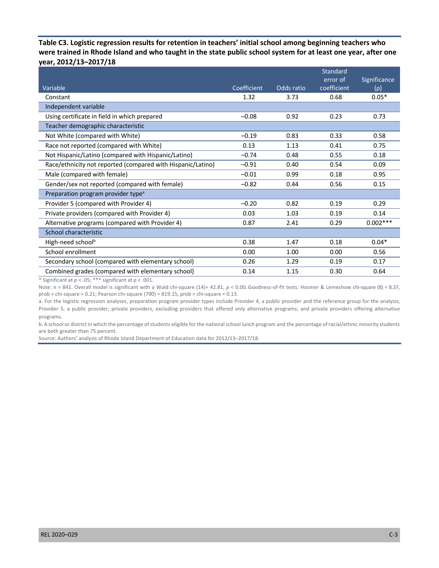**Table C3. Logistic regression results for retention in teachers' initial school among beginning teachers who were trained in Rhode Island and who taught in the state public school system for at least one year, after one year, 2012/13–2017/18** 

|                                                             |             |            | Standard    |              |
|-------------------------------------------------------------|-------------|------------|-------------|--------------|
|                                                             |             |            | error of    | Significance |
| Variable                                                    | Coefficient | Odds ratio | coefficient | $(\rho)$     |
| Constant                                                    | 1.32        | 3.73       | 0.68        | $0.05*$      |
| Independent variable                                        |             |            |             |              |
| Using certificate in field in which prepared                | $-0.08$     | 0.92       | 0.23        | 0.73         |
| Teacher demographic characteristic                          |             |            |             |              |
| Not White (compared with White)                             | $-0.19$     | 0.83       | 0.33        | 0.58         |
| Race not reported (compared with White)                     | 0.13        | 1.13       | 0.41        | 0.75         |
| Not Hispanic/Latino (compared with Hispanic/Latino)         | $-0.74$     | 0.48       | 0.55        | 0.18         |
| Race/ethnicity not reported (compared with Hispanic/Latino) | $-0.91$     | 0.40       | 0.54        | 0.09         |
| Male (compared with female)                                 | $-0.01$     | 0.99       | 0.18        | 0.95         |
| Gender/sex not reported (compared with female)              | $-0.82$     | 0.44       | 0.56        | 0.15         |
| Preparation program provider type <sup>a</sup>              |             |            |             |              |
| Provider 5 (compared with Provider 4)                       | $-0.20$     | 0.82       | 0.19        | 0.29         |
| Private providers (compared with Provider 4)                | 0.03        | 1.03       | 0.19        | 0.14         |
| Alternative programs (compared with Provider 4)             | 0.87        | 2.41       | 0.29        | $0.002***$   |
| School characteristic                                       |             |            |             |              |
| High-need school <sup>b</sup>                               | 0.38        | 1.47       | 0.18        | $0.04*$      |
| School enrollment                                           | 0.00        | 1.00       | 0.00        | 0.56         |
| Secondary school (compared with elementary school)          | 0.26        | 1.29       | 0.19        | 0.17         |
| Combined grades (compared with elementary school)           | 0.14        | 1.15       | 0.30        | 0.64         |

\* Significant at *p* < .05; \*\*\* significant at *p* < .001.

 Note: *n* = 841. Overall model is significant with a Wald chi-square (14)= 42.81, *p* < 0.00. Goodness-of-fit tests: Hosmer & Lemeshow chi-square (8) = 8.37, prob > chi-square = 0.21; Pearson chi-square (790) = 819.15, prob > chi-square = 0.13.

 a. For the logistic regression analyses, preparation program provider types include Provider 4, a public provider and the reference group for the analysis; Provider 5, a public provider; private providers, excluding providers that offered only alternative programs; and private providers offering alternative programs.

 b. A school or district in which the percentage of students eligible for the national school lunch program and the percentage of racial/ethnic minority students are both greater than 75 percent.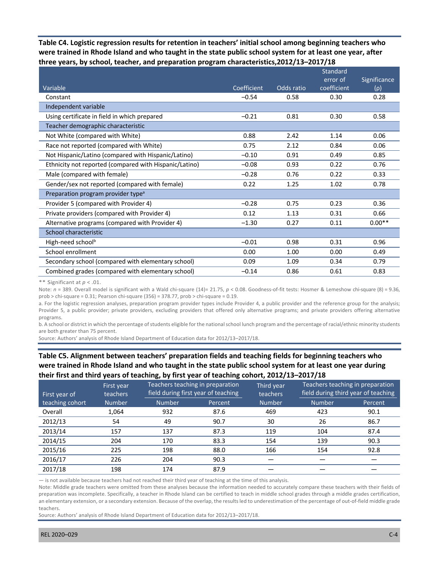**Table C4. Logistic regression results for retention in teachers' initial school among beginning teachers who three years, by school, teacher, and preparation program characteristics,2012/13–2017/18 were trained in Rhode Island and who taught in the state public school system for at least one year, after** 

|                                                        |             |            | Standard    |              |
|--------------------------------------------------------|-------------|------------|-------------|--------------|
|                                                        |             |            | error of    | Significance |
| Variable                                               | Coefficient | Odds ratio | coefficient | $(\rho)$     |
| Constant                                               | $-0.54$     | 0.58       | 0.30        | 0.28         |
| Independent variable                                   |             |            |             |              |
| Using certificate in field in which prepared           | $-0.21$     | 0.81       | 0.30        | 0.58         |
| Teacher demographic characteristic                     |             |            |             |              |
| Not White (compared with White)                        | 0.88        | 2.42       | 1.14        | 0.06         |
| Race not reported (compared with White)                | 0.75        | 2.12       | 0.84        | 0.06         |
| Not Hispanic/Latino (compared with Hispanic/Latino)    | $-0.10$     | 0.91       | 0.49        | 0.85         |
| Ethnicity not reported (compared with Hispanic/Latino) | $-0.08$     | 0.93       | 0.22        | 0.76         |
| Male (compared with female)                            | $-0.28$     | 0.76       | 0.22        | 0.33         |
| Gender/sex not reported (compared with female)         | 0.22        | 1.25       | 1.02        | 0.78         |
| Preparation program provider type <sup>a</sup>         |             |            |             |              |
| Provider 5 (compared with Provider 4)                  | $-0.28$     | 0.75       | 0.23        | 0.36         |
| Private providers (compared with Provider 4)           | 0.12        | 1.13       | 0.31        | 0.66         |
| Alternative programs (compared with Provider 4)        | $-1.30$     | 0.27       | 0.11        | $0.00**$     |
| School characteristic                                  |             |            |             |              |
| High-need school <sup>b</sup>                          | $-0.01$     | 0.98       | 0.31        | 0.96         |
| School enrollment                                      | 0.00        | 1.00       | 0.00        | 0.49         |
| Secondary school (compared with elementary school)     | 0.09        | 1.09       | 0.34        | 0.79         |
| Combined grades (compared with elementary school)      | $-0.14$     | 0.86       | 0.61        | 0.83         |

\*\* Significant at *p* < .01.

 Note: *n* = 389. Overall model is significant with a Wald chi-square (14)= 21.75, *p* < 0.08. Goodness-of-fit tests: Hosmer & Lemeshow chi-square (8) = 9.36, prob > chi-square = 0.31; Pearson chi-square (356) = 378.77, prob > chi-square = 0.19.

 a. For the logistic regression analyses, preparation program provider types include Provider 4, a public provider and the reference group for the analysis; Provider 5, a public provider; private providers, excluding providers that offered only alternative programs; and private providers offering alternative programs.

 b. A school or district in which the percentage of students eligible for the national school lunch program and the percentage of racial/ethnic minority students are both greater than 75 percent.

Source: Authors' analysis of Rhode Island Department of Education data for 2012/13–2017/18.

## **Table C5. Alignment between teachers' preparation fields and teaching fields for beginning teachers who their first and third years of teaching, by first year of teaching cohort, 2012/13–2017/18 were trained in Rhode Island and who taught in the state public school system for at least one year during**

| First year<br>teachers<br>First year of |               |               | Teachers teaching in preparation<br>field during first year of teaching |               | Teachers teaching in preparation<br>field during third year of teaching |         |
|-----------------------------------------|---------------|---------------|-------------------------------------------------------------------------|---------------|-------------------------------------------------------------------------|---------|
| teaching cohort                         | <b>Number</b> | <b>Number</b> | Percent                                                                 | <b>Number</b> | <b>Number</b>                                                           | Percent |
| Overall                                 | 1,064         | 932           | 87.6                                                                    | 469           | 423                                                                     | 90.1    |
| 2012/13                                 | 54            | 49            | 90.7                                                                    | 30            | 26                                                                      | 86.7    |
| 2013/14                                 | 157           | 137           | 87.3                                                                    | 119           | 104                                                                     | 87.4    |
| 2014/15                                 | 204           | 170           | 83.3                                                                    | 154           | 139                                                                     | 90.3    |
| 2015/16                                 | 225           | 198           | 88.0                                                                    | 166           | 154                                                                     | 92.8    |
| 2016/17                                 | 226           | 204           | 90.3                                                                    |               |                                                                         |         |
| 2017/18                                 | 198           | 174           | 87.9                                                                    |               |                                                                         |         |

— is not available because teachers had not reached their third year of teaching at the time of this analysis.

 Note: Middle grade teachers were omitted from these analyses because the information needed to accurately compare these teachers with their fields of preparation was incomplete. Specifically, a teacher in Rhode Island can be certified to teach in middle school grades through a middle grades certification, an elementary extension, or a secondary extension. Because of the overlap, the results led to underestimation of the percentage of out-of-field middle grade teachers.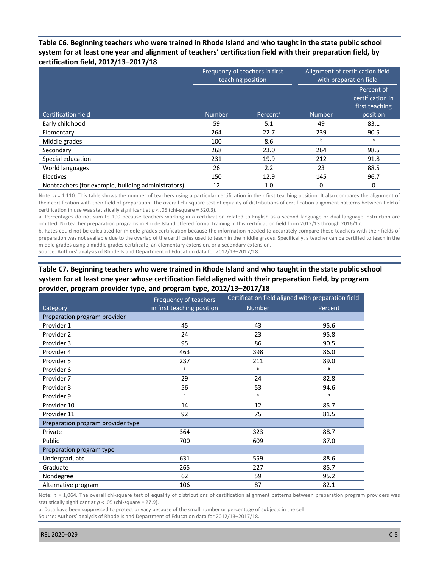## **system for at least one year and alignment of teachers' certification field with their preparation field, by Table C6. Beginning teachers who were trained in Rhode Island and who taught in the state public school certification field, 2012/13–2017/18**

|                                                    | Frequency of teachers in first<br>teaching position |                      |               | Alignment of certification field<br>with preparation field   |
|----------------------------------------------------|-----------------------------------------------------|----------------------|---------------|--------------------------------------------------------------|
| <b>Certification field</b>                         | <b>Number</b>                                       | Percent <sup>a</sup> | <b>Number</b> | Percent of<br>certification in<br>first teaching<br>position |
| Early childhood                                    | 59                                                  | 5.1                  | 49            | 83.1                                                         |
| Elementary                                         | 264                                                 | 22.7                 | 239           | 90.5                                                         |
| Middle grades                                      | 100                                                 | 8.6                  | b             | b                                                            |
| Secondary                                          | 268                                                 | 23.0                 | 264           | 98.5                                                         |
| Special education                                  | 231                                                 | 19.9                 | 212           | 91.8                                                         |
| World languages                                    | 26                                                  | 2.2                  | 23            | 88.5                                                         |
| Electives                                          | 150                                                 | 12.9                 | 145           | 96.7                                                         |
| Nonteachers (for example, building administrators) | 12                                                  | 1.0                  | 0             | 0                                                            |

Note:  $n = 1,110$ . This table shows the number of teachers using a particular certification in their first teaching position. It also compares the alignment of their certification with their field of preparation. The overall chi-square test of equality of distributions of certification alignment patterns between field of certification in use was statistically significant at  $p < .05$  (chi-square = 520.3).

 a. Percentages do not sum to 100 because teachers working in a certification related to English as a second language or dual-language instruction are omitted. No teacher preparation programs in Rhode Island offered formal training in this certification field from 2012/13 through 2016/17.

 b. Rates could not be calculated for middle grades certification because the information needed to accurately compare these teachers with their fields of preparation was not available due to the overlap of the certificates used to teach in the middle grades. Specifically, a teacher can be certified to teach in the middle grades using a middle grades certificate, an elementary extension, or a secondary extension.

Source: Authors' analysis of Rhode Island Department of Education data for 2012/13–2017/18.

## **system for at least one year whose certification field aligned with their preparation field, by program Table C7. Beginning teachers who were trained in Rhode Island and who taught in the state public school provider, program provider type, and program type, 2012/13–2017/18**

|                                   | Frequency of teachers      |               | Certification field aligned with preparation field |
|-----------------------------------|----------------------------|---------------|----------------------------------------------------|
| Category                          | in first teaching position | <b>Number</b> | Percent                                            |
| Preparation program provider      |                            |               |                                                    |
| Provider 1                        | 45                         | 43            | 95.6                                               |
| Provider 2                        | 24                         | 23            | 95.8                                               |
| Provider 3                        | 95                         | 86            | 90.5                                               |
| Provider 4                        | 463                        | 398           | 86.0                                               |
| Provider 5                        | 237                        | 211           | 89.0                                               |
| Provider 6                        | a                          | a             | a                                                  |
| Provider 7                        | 29                         | 24            | 82.8                                               |
| Provider 8                        | 56                         | 53            | 94.6                                               |
| Provider 9                        | a                          | a             | a                                                  |
| Provider 10                       | 14                         | 12            | 85.7                                               |
| Provider 11                       | 92                         | 75            | 81.5                                               |
| Preparation program provider type |                            |               |                                                    |
| Private                           | 364                        | 323           | 88.7                                               |
| Public                            | 700                        | 609           | 87.0                                               |
| Preparation program type          |                            |               |                                                    |
| Undergraduate                     | 631                        | 559           | 88.6                                               |
| Graduate                          | 265                        | 227           | 85.7                                               |
| Nondegree                         | 62                         | 59            | 95.2                                               |
| Alternative program               | 106                        | 87            | 82.1                                               |

Note:  $n = 1,064$ . The overall chi-square test of equality of distributions of certification alignment patterns between preparation program providers was statistically significant at *p* < .05 (chi-square = 27.9).

 a. Data have been suppressed to protect privacy because of the small number or percentage of subjects in the cell. Source: Authors' analysis of Rhode Island Department of Education data for 2012/13–2017/18.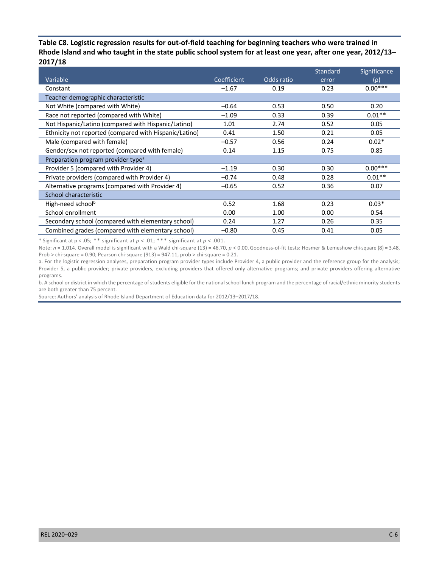**Table C8. Logistic regression results for out-of-field teaching for beginning teachers who were trained in Rhode Island and who taught in the state public school system for at least one year, after one year, 2012/13– 2017/18** 

|                                                        |             |            | <b>Standard</b> | Significance |
|--------------------------------------------------------|-------------|------------|-----------------|--------------|
| Variable                                               | Coefficient | Odds ratio | error           | $(\rho)$     |
| Constant                                               | $-1.67$     | 0.19       | 0.23            | $0.00***$    |
| Teacher demographic characteristic                     |             |            |                 |              |
| Not White (compared with White)                        | $-0.64$     | 0.53       | 0.50            | 0.20         |
| Race not reported (compared with White)                | $-1.09$     | 0.33       | 0.39            | $0.01**$     |
| Not Hispanic/Latino (compared with Hispanic/Latino)    | 1.01        | 2.74       | 0.52            | 0.05         |
| Ethnicity not reported (compared with Hispanic/Latino) | 0.41        | 1.50       | 0.21            | 0.05         |
| Male (compared with female)                            | $-0.57$     | 0.56       | 0.24            | $0.02*$      |
| Gender/sex not reported (compared with female)         | 0.14        | 1.15       | 0.75            | 0.85         |
| Preparation program provider type <sup>a</sup>         |             |            |                 |              |
| Provider 5 (compared with Provider 4)                  | $-1.19$     | 0.30       | 0.30            | $0.00***$    |
| Private providers (compared with Provider 4)           | $-0.74$     | 0.48       | 0.28            | $0.01**$     |
| Alternative programs (compared with Provider 4)        | $-0.65$     | 0.52       | 0.36            | 0.07         |
| School characteristic                                  |             |            |                 |              |
| High-need schoolb                                      | 0.52        | 1.68       | 0.23            | $0.03*$      |
| School enrollment                                      | 0.00        | 1.00       | 0.00            | 0.54         |
| Secondary school (compared with elementary school)     | 0.24        | 1.27       | 0.26            | 0.35         |
| Combined grades (compared with elementary school)      | $-0.80$     | 0.45       | 0.41            | 0.05         |

\* Significant at p < .05; \*\* significant at *p* < .01; \*\*\* significant at *p* < .001.

 Note: *n* = 1,014. Overall model is significant with a Wald chi-square (13) = 46.70, *p* < 0.00. Goodness-of-fit tests: Hosmer & Lemeshow chi-square (8) = 3.48, Prob  $>$  chi-square = 0.90; Pearson chi-square (913) = 947.11, prob  $>$  chi-square = 0.21.

 a. For the logistic regression analyses, preparation program provider types include Provider 4, a public provider and the reference group for the analysis; Provider 5, a public provider; private providers, excluding providers that offered only alternative programs; and private providers offering alternative programs.

 b. A school or district in which the percentage of students eligible for the national school lunch program and the percentage of racial/ethnic minority students are both greater than 75 percent.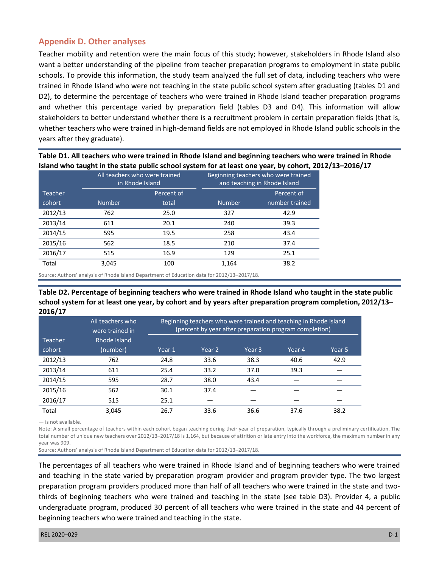## **Appendix D. Other analyses**

 Teacher mobility and retention were the main focus of this study; however, stakeholders in Rhode Island also want a better understanding of the pipeline from teacher preparation programs to employment in state public schools. To provide this information, the study team analyzed the full set of data, including teachers who were trained in Rhode Island who were not teaching in the state public school system after graduating (tables D1 and D2), to determine the percentage of teachers who were trained in Rhode Island teacher preparation programs and whether this percentage varied by preparation field (tables D3 and D4). This information will allow stakeholders to better understand whether there is a recruitment problem in certain preparation fields (that is, whether teachers who were trained in high-demand fields are not employed in Rhode Island public schools in the years after they graduate).

**Table D1. All teachers who were trained in Rhode Island and beginning teachers who were trained in Rhode Island who taught in the state public school system for at least one year, by cohort, 2012/13–2016/17** 

|         | All teachers who were trained<br>in Rhode Island |       | Beginning teachers who were trained<br>and teaching in Rhode Island |                |  |  |
|---------|--------------------------------------------------|-------|---------------------------------------------------------------------|----------------|--|--|
| Teacher | Percent of                                       |       |                                                                     | Percent of     |  |  |
| cohort  | <b>Number</b>                                    | total | <b>Number</b>                                                       | number trained |  |  |
| 2012/13 | 762                                              | 25.0  | 327                                                                 | 42.9           |  |  |
| 2013/14 | 611                                              | 20.1  | 240                                                                 | 39.3           |  |  |
| 2014/15 | 595                                              | 19.5  | 258                                                                 | 43.4           |  |  |
| 2015/16 | 562                                              | 18.5  | 210                                                                 | 37.4           |  |  |
| 2016/17 | 515                                              | 16.9  | 129                                                                 | 25.1           |  |  |
| Total   | 3,045                                            | 100   | 1,164                                                               | 38.2           |  |  |

Source: Authors' analysis of Rhode Island Department of Education data for 2012/13–2017/18.

 **Table D2. Percentage of beginning teachers who were trained in Rhode Island who taught in the state public school system for at least one year, by cohort and by years after preparation program completion, 2012/13– 2016/17** 

|         | All teachers who<br>were trained in | Beginning teachers who were trained and teaching in Rhode Island<br>(percent by year after preparation program completion) |        |                   |        |        |  |
|---------|-------------------------------------|----------------------------------------------------------------------------------------------------------------------------|--------|-------------------|--------|--------|--|
| Teacher | Rhode Island                        |                                                                                                                            |        |                   |        |        |  |
| cohort  | (number)                            | Year 1                                                                                                                     | Year 2 | Year <sub>3</sub> | Year 4 | Year 5 |  |
| 2012/13 | 762                                 | 24.8                                                                                                                       | 33.6   | 38.3              | 40.6   | 42.9   |  |
| 2013/14 | 611                                 | 25.4                                                                                                                       | 33.2   | 37.0              | 39.3   |        |  |
| 2014/15 | 595                                 | 28.7                                                                                                                       | 38.0   | 43.4              |        |        |  |
| 2015/16 | 562                                 | 30.1                                                                                                                       | 37.4   |                   |        |        |  |
| 2016/17 | 515                                 | 25.1                                                                                                                       |        |                   |        |        |  |
| Total   | 3.045                               | 26.7                                                                                                                       | 33.6   | 36.6              | 37.6   | 38.2   |  |

— is not available.

 Note: A small percentage of teachers within each cohort began teaching during their year of preparation, typically through a preliminary certification. The total number of unique new teachers over 2012/13–2017/18 is 1,164, but because of attrition or late entry into the workforce, the maximum number in any year was 909.

Source: Authors' analysis of Rhode Island Department of Education data for 2012/13–2017/18.

 The percentages of all teachers who were trained in Rhode Island and of beginning teachers who were trained and teaching in the state varied by preparation program provider and program provider type. The two largest preparation program providers produced more than half of all teachers who were trained in the state and two- thirds of beginning teachers who were trained and teaching in the state (see table D3). Provider 4, a public undergraduate program, produced 30 percent of all teachers who were trained in the state and 44 percent of beginning teachers who were trained and teaching in the state.<br>REL 2020–029 D-1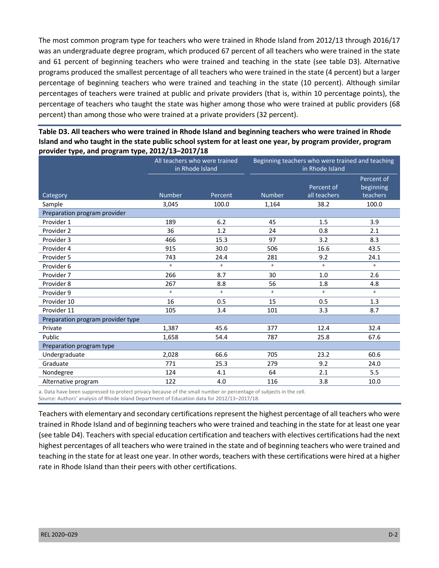The most common program type for teachers who were trained in Rhode Island from 2012/13 through 2016/17 was an undergraduate degree program, which produced 67 percent of all teachers who were trained in the state and 61 percent of beginning teachers who were trained and teaching in the state (see table D3). Alternative programs produced the smallest percentage of all teachers who were trained in the state (4 percent) but a larger percentage of beginning teachers who were trained and teaching in the state (10 percent). Although similar percentages of teachers were trained at public and private providers (that is, within 10 percentage points), the percentage of teachers who taught the state was higher among those who were trained at public providers (68 percent) than among those who were trained at a private providers (32 percent).

| Table D3. All teachers who were trained in Rhode Island and beginning teachers who were trained in Rhode    |
|-------------------------------------------------------------------------------------------------------------|
| Island and who taught in the state public school system for at least one year, by program provider, program |
| provider type, and program type, 2012/13-2017/18                                                            |

|                                   | All teachers who were trained<br>in Rhode Island |              | Beginning teachers who were trained and teaching<br>in Rhode Island |              |                         |  |
|-----------------------------------|--------------------------------------------------|--------------|---------------------------------------------------------------------|--------------|-------------------------|--|
|                                   |                                                  |              |                                                                     | Percent of   | Percent of<br>beginning |  |
| Category                          | <b>Number</b>                                    | Percent      | <b>Number</b>                                                       | all teachers | teachers                |  |
| Sample                            | 3,045                                            | 100.0        | 1,164                                                               | 38.2         | 100.0                   |  |
| Preparation program provider      |                                                  |              |                                                                     |              |                         |  |
| Provider 1                        | 189                                              | 6.2          | 45                                                                  | 1.5          | 3.9                     |  |
| Provider 2                        | 36                                               | 1.2          | 24                                                                  | 0.8          | 2.1                     |  |
| Provider 3                        | 466                                              | 15.3         | 97                                                                  | 3.2          | 8.3                     |  |
| Provider 4                        | 915                                              | 30.0         | 506                                                                 | 16.6         | 43.5                    |  |
| Provider 5                        | 743                                              | 24.4         | 281                                                                 | 9.2          | 24.1                    |  |
| Provider 6                        | a                                                | $\mathbf{a}$ | a                                                                   | a            | a                       |  |
| Provider 7                        | 266                                              | 8.7          | 30                                                                  | 1.0          | 2.6                     |  |
| Provider 8                        | 267                                              | 8.8          | 56                                                                  | 1.8          | 4.8                     |  |
| Provider 9                        | a                                                | a            | a                                                                   | a            | a                       |  |
| Provider 10                       | 16                                               | 0.5          | 15                                                                  | 0.5          | 1.3                     |  |
| Provider 11                       | 105                                              | 3.4          | 101                                                                 | 3.3          | 8.7                     |  |
| Preparation program provider type |                                                  |              |                                                                     |              |                         |  |
| Private                           | 1,387                                            | 45.6         | 377                                                                 | 12.4         | 32.4                    |  |
| Public                            | 1,658                                            | 54.4         | 787                                                                 | 25.8         | 67.6                    |  |
| Preparation program type          |                                                  |              |                                                                     |              |                         |  |
| Undergraduate                     | 2,028                                            | 66.6         | 705                                                                 | 23.2         | 60.6                    |  |
| Graduate                          | 771                                              | 25.3         | 279                                                                 | 9.2          | 24.0                    |  |
| Nondegree                         | 124                                              | 4.1          | 64                                                                  | 2.1          | 5.5                     |  |
| Alternative program               | 122                                              | 4.0          | 116                                                                 | 3.8          | 10.0                    |  |

 a. Data have been suppressed to protect privacy because of the small number or percentage of subjects in the cell. Source: Authors' analysis of Rhode Island Department of Education data for 2012/13–2017/18.

 Teachers with elementary and secondary certifications represent the highest percentage of all teachers who were trained in Rhode Island and of beginning teachers who were trained and teaching in the state for at least one year (see table D4). Teachers with special education certification and teachers with electives certifications had the next highest percentages of all teachers who were trained in the state and of beginning teachers who were trained and teaching in the state for at least one year. In other words, teachers with these certifications were hired at a higher rate in Rhode Island than their peers with other certifications.